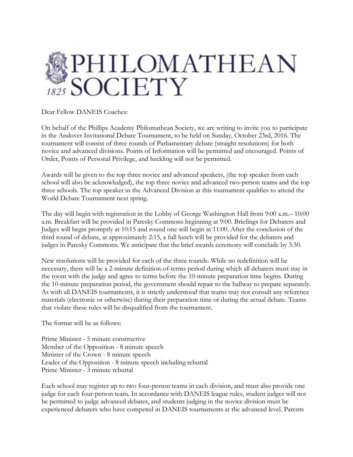

Dear Fellow DANEIS Coaches:

On behalf of the Phillips Academy Philomathean Society, we are writing to invite you to participate in the Andover Invitational Debate Tournament, to be held on Sunday, October 23rd, 2016. The tournament will consist of three rounds of Parliamentary debate (straight resolutions) for both novice and advanced divisions. Points of Information will be permitted and encouraged. Points of Order, Points of Personal Privilege, and heckling will not be permitted.

Awards will be given to the top three novice and advanced speakers, (the top speaker from each school will also be acknowledged), the top three novice and advanced two-person teams and the top three schools. The top speaker in the Advanced Division at this tournament qualifies to attend the World Debate Tournament next spring.

The day will begin with registration in the Lobby of George Washington Hall from 9:00 a.m.– 10:00 a.m. Breakfast will be provided in Paresky Commons beginning at 9:00. Briefings for Debaters and Judges will begin promptly at 10:15 and round one will begin at 11:00. After the conclusion of the third round of debate, at approximately 2:15, a full lunch will be provided for the debaters and judges in Paresky Commons. We anticipate that the brief awards ceremony will conclude by 3:30.

New resolutions will be provided for each of the three rounds. While no redefinition will be necessary, there will be a 2-minute definition-of-terms period during which all debaters must stay in the room with the judge and agree to terms before the 10-minute preparation time begins. During the 10-minute preparation period, the government should repair to the hallway to prepare separately. As with all DANEIS tournaments, it is strictly understood that teams may not consult any reference materials (electronic or otherwise) during their preparation time or during the actual debate. Teams that violate these rules will be disqualified from the tournament.

The format will be as follows:

Prime Minister - 5 minute constructive Member of the Opposition - 8 minute speech Minister of the Crown - 8 minute speech Leader of the Opposition - 8 minute speech including rebuttal Prime Minister - 3 minute rebuttal

Each school may register up to two four-person teams in each division, and must also provide one judge for each four-person team. In accordance with DANEIS league rules, student judges will not be permitted to judge advanced debates, and students judging in the novice division must be experienced debaters who have competed in DANEIS tournaments at the advanced level. Parents